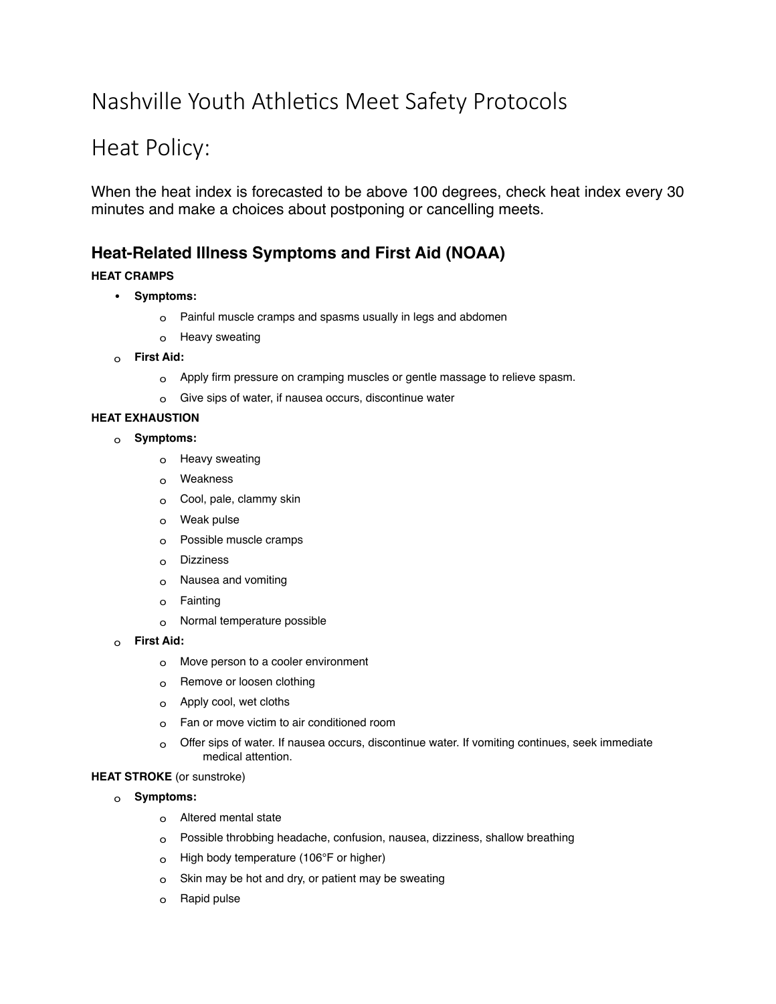# Nashville Youth Athletics Meet Safety Protocols

## Heat Policy:

When the heat index is forecasted to be above 100 degrees, check heat index every 30 minutes and make a choices about postponing or cancelling meets.

### **Heat-Related Illness Symptoms and First Aid (NOAA)**

#### **HEAT CRAMPS**

- **Symptoms:**
	- o Painful muscle cramps and spasms usually in legs and abdomen
	- o Heavy sweating
- o **First Aid:**
	- o Apply firm pressure on cramping muscles or gentle massage to relieve spasm.
	- o Give sips of water, if nausea occurs, discontinue water

#### **HEAT EXHAUSTION**

- o **Symptoms:**
	- o Heavy sweating
	- o Weakness
	- o Cool, pale, clammy skin
	- o Weak pulse
	- o Possible muscle cramps
	- o Dizziness
	- o Nausea and vomiting
	- o Fainting
	- o Normal temperature possible
- o **First Aid:**
	- o Move person to a cooler environment
	- o Remove or loosen clothing
	- o Apply cool, wet cloths
	- o Fan or move victim to air conditioned room
	- $\circ$  Offer sips of water. If nausea occurs, discontinue water. If vomiting continues, seek immediate medical attention.

#### **HEAT STROKE** (or sunstroke)

- o **Symptoms:**
	- o Altered mental state
	- o Possible throbbing headache, confusion, nausea, dizziness, shallow breathing
	- o High body temperature (106°F or higher)
	- o Skin may be hot and dry, or patient may be sweating
	- o Rapid pulse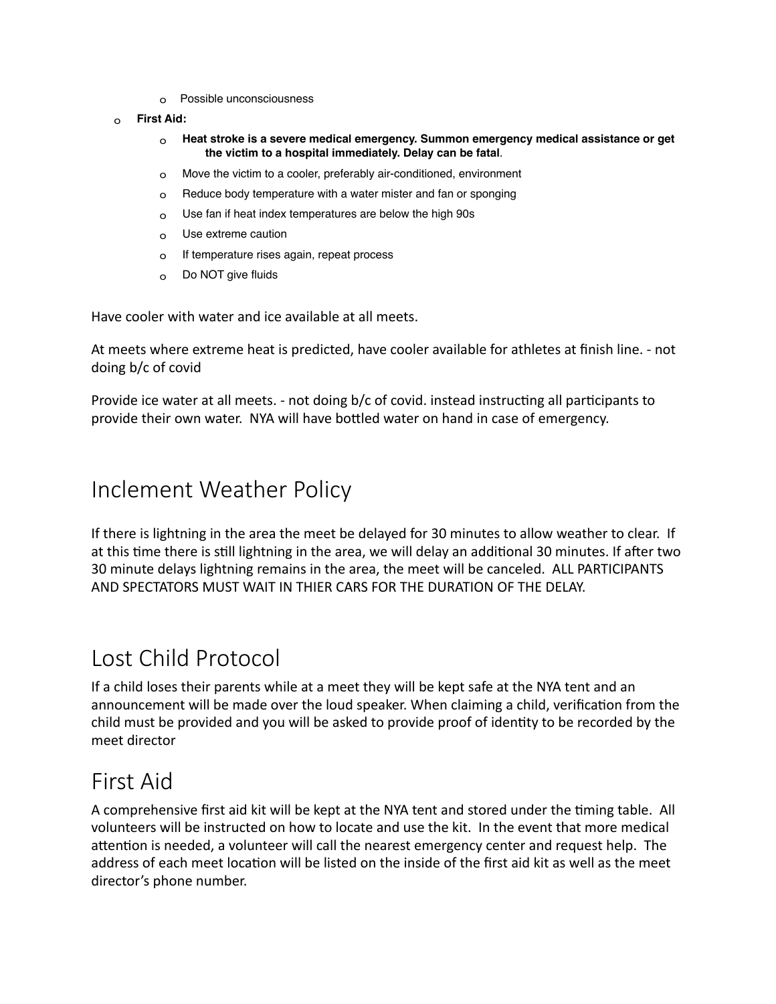- o Possible unconsciousness
- o **First Aid:**
	- o **Heat stroke is a severe medical emergency. Summon emergency medical assistance or get the victim to a hospital immediately. Delay can be fatal**.
	- o Move the victim to a cooler, preferably air-conditioned, environment
	- o Reduce body temperature with a water mister and fan or sponging
	- $\circ$  Use fan if heat index temperatures are below the high 90s
	- o Use extreme caution
	- o If temperature rises again, repeat process
	- o Do NOT give fluids

Have cooler with water and ice available at all meets.

At meets where extreme heat is predicted, have cooler available for athletes at finish line. - not doing b/c of covid

Provide ice water at all meets. - not doing b/c of covid. instead instructing all participants to provide their own water. NYA will have bottled water on hand in case of emergency.

### Inclement Weather Policy

If there is lightning in the area the meet be delayed for 30 minutes to allow weather to clear. If at this time there is still lightning in the area, we will delay an additional 30 minutes. If after two 30 minute delays lightning remains in the area, the meet will be canceled. ALL PARTICIPANTS AND SPECTATORS MUST WAIT IN THIER CARS FOR THE DURATION OF THE DFLAY.

### Lost Child Protocol

If a child loses their parents while at a meet they will be kept safe at the NYA tent and an announcement will be made over the loud speaker. When claiming a child, verification from the child must be provided and you will be asked to provide proof of identity to be recorded by the meet director 

### First Aid

A comprehensive first aid kit will be kept at the NYA tent and stored under the timing table. All volunteers will be instructed on how to locate and use the kit. In the event that more medical attention is needed, a volunteer will call the nearest emergency center and request help. The address of each meet location will be listed on the inside of the first aid kit as well as the meet director's phone number.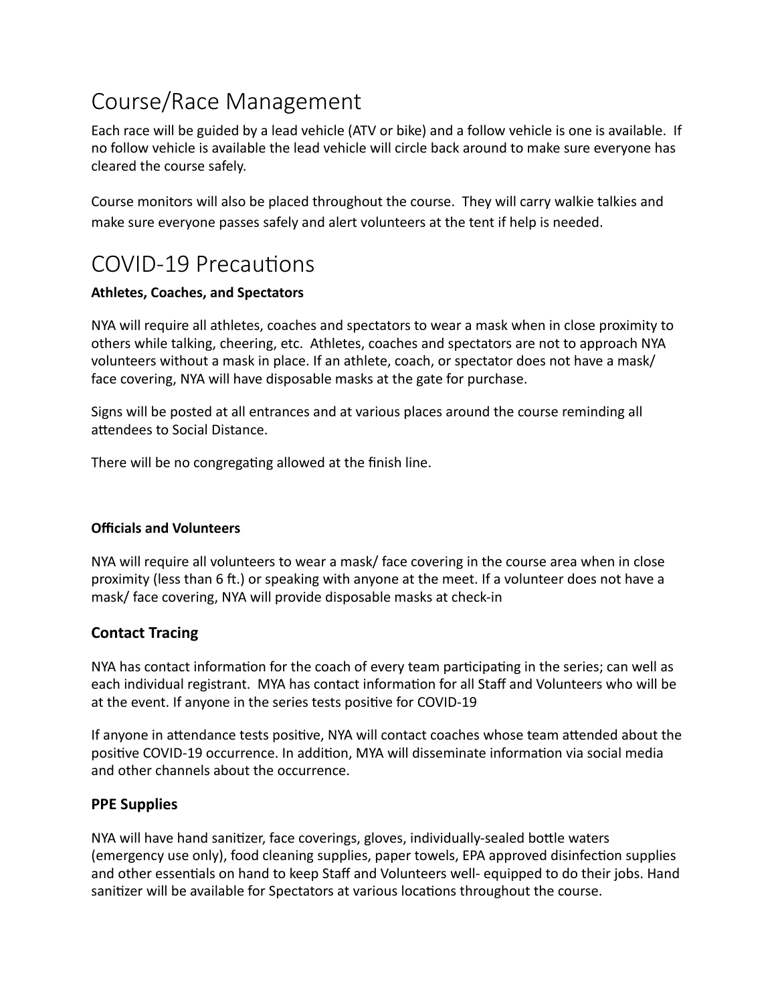# Course/Race Management

Each race will be guided by a lead vehicle (ATV or bike) and a follow vehicle is one is available. If no follow vehicle is available the lead vehicle will circle back around to make sure everyone has cleared the course safely.

Course monitors will also be placed throughout the course. They will carry walkie talkies and make sure everyone passes safely and alert volunteers at the tent if help is needed.

## COVID-19 Precautions

#### **Athletes, Coaches, and Spectators**

NYA will require all athletes, coaches and spectators to wear a mask when in close proximity to others while talking, cheering, etc. Athletes, coaches and spectators are not to approach NYA volunteers without a mask in place. If an athlete, coach, or spectator does not have a mask/ face covering, NYA will have disposable masks at the gate for purchase.

Signs will be posted at all entrances and at various places around the course reminding all attendees to Social Distance.

There will be no congregating allowed at the finish line.

#### **Officials and Volunteers**

NYA will require all volunteers to wear a mask/ face covering in the course area when in close proximity (less than 6 ft.) or speaking with anyone at the meet. If a volunteer does not have a mask/ face covering, NYA will provide disposable masks at check-in

### **Contact Tracing**

NYA has contact information for the coach of every team participating in the series; can well as each individual registrant. MYA has contact information for all Staff and Volunteers who will be at the event. If anyone in the series tests positive for COVID-19

If anyone in attendance tests positive, NYA will contact coaches whose team attended about the positive COVID-19 occurrence. In addition, MYA will disseminate information via social media and other channels about the occurrence.

#### **PPE Supplies**

NYA will have hand sanitizer, face coverings, gloves, individually-sealed bottle waters (emergency use only), food cleaning supplies, paper towels, EPA approved disinfection supplies and other essentials on hand to keep Staff and Volunteers well- equipped to do their jobs. Hand sanitizer will be available for Spectators at various locations throughout the course.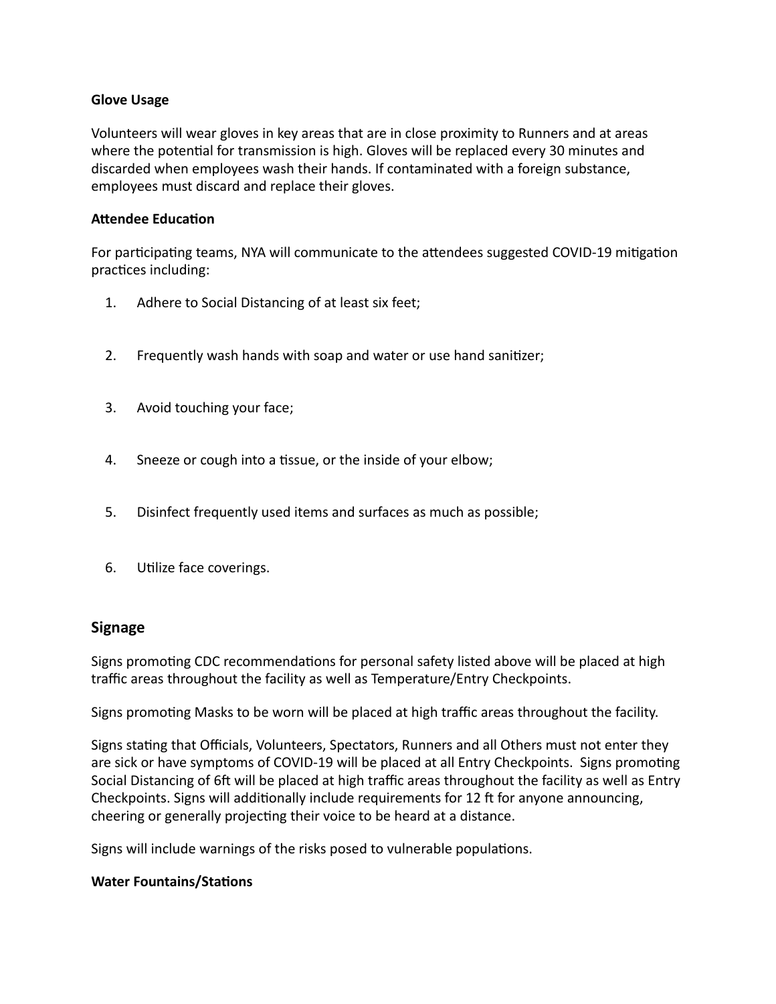#### **Glove Usage**

Volunteers will wear gloves in key areas that are in close proximity to Runners and at areas where the potential for transmission is high. Gloves will be replaced every 30 minutes and discarded when employees wash their hands. If contaminated with a foreign substance, employees must discard and replace their gloves.

#### **Attendee Education**

For participating teams, NYA will communicate to the attendees suggested COVID-19 mitigation practices including:

- 1. Adhere to Social Distancing of at least six feet;
- 2. Frequently wash hands with soap and water or use hand sanitizer;
- 3. Avoid touching your face;
- 4. Sneeze or cough into a tissue, or the inside of your elbow;
- 5. Disinfect frequently used items and surfaces as much as possible;
- 6. Utilize face coverings.

#### **Signage**

Signs promoting CDC recommendations for personal safety listed above will be placed at high traffic areas throughout the facility as well as Temperature/Entry Checkpoints.

Signs promoting Masks to be worn will be placed at high traffic areas throughout the facility.

Signs stating that Officials, Volunteers, Spectators, Runners and all Others must not enter they are sick or have symptoms of COVID-19 will be placed at all Entry Checkpoints. Signs promoting Social Distancing of 6ft will be placed at high traffic areas throughout the facility as well as Entry Checkpoints. Signs will additionally include requirements for 12 ft for anyone announcing, cheering or generally projecting their voice to be heard at a distance.

Signs will include warnings of the risks posed to vulnerable populations.

#### **Water Fountains/Stations**